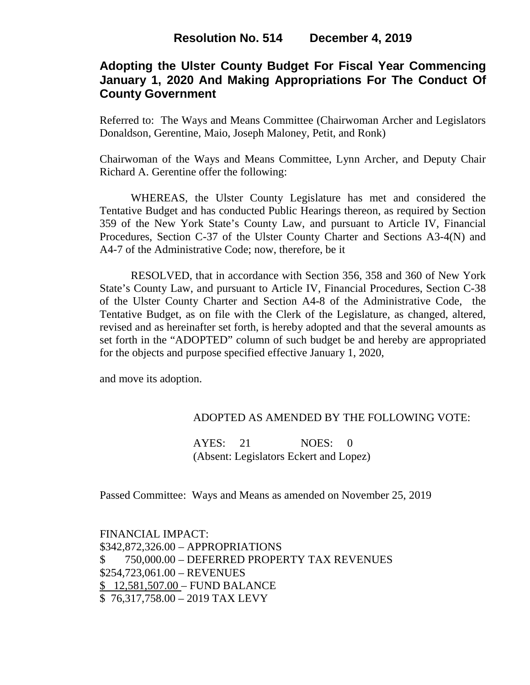# **Adopting the Ulster County Budget For Fiscal Year Commencing January 1, 2020 And Making Appropriations For The Conduct Of County Government**

Referred to: The Ways and Means Committee (Chairwoman Archer and Legislators Donaldson, Gerentine, Maio, Joseph Maloney, Petit, and Ronk)

Chairwoman of the Ways and Means Committee, Lynn Archer, and Deputy Chair Richard A. Gerentine offer the following:

WHEREAS, the Ulster County Legislature has met and considered the Tentative Budget and has conducted Public Hearings thereon, as required by Section 359 of the New York State's County Law, and pursuant to Article IV, Financial Procedures, Section C-37 of the Ulster County Charter and Sections A3-4(N) and A4-7 of the Administrative Code; now, therefore, be it

RESOLVED, that in accordance with Section 356, 358 and 360 of New York State's County Law, and pursuant to Article IV, Financial Procedures, Section C-38 of the Ulster County Charter and Section A4-8 of the Administrative Code, the Tentative Budget, as on file with the Clerk of the Legislature, as changed, altered, revised and as hereinafter set forth, is hereby adopted and that the several amounts as set forth in the "ADOPTED" column of such budget be and hereby are appropriated for the objects and purpose specified effective January 1, 2020,

and move its adoption.

### ADOPTED AS AMENDED BY THE FOLLOWING VOTE:

AYES: 21 NOES: 0 (Absent: Legislators Eckert and Lopez)

Passed Committee: Ways and Means as amended on November 25, 2019

FINANCIAL IMPACT: \$342,872,326.00 – APPROPRIATIONS \$ 750,000.00 – DEFERRED PROPERTY TAX REVENUES \$254,723,061.00 – REVENUES \$ 12,581,507.00 – FUND BALANCE \$ 76,317,758.00 – 2019 TAX LEVY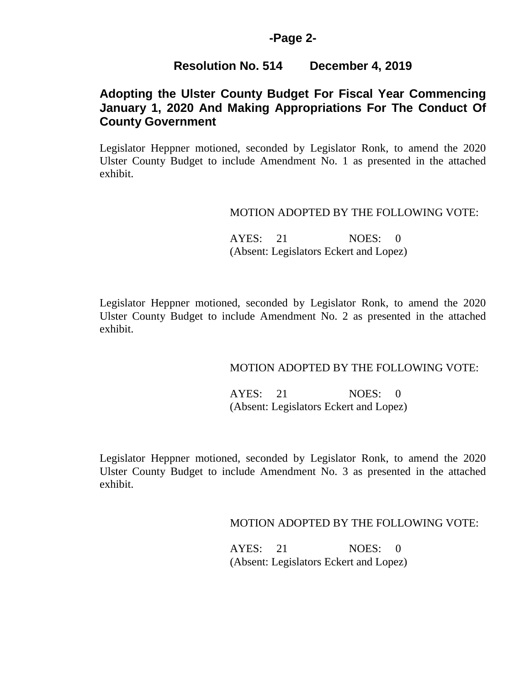### **-Page 2-**

### **Resolution No. 514 December 4, 2019**

# **Adopting the Ulster County Budget For Fiscal Year Commencing January 1, 2020 And Making Appropriations For The Conduct Of County Government**

Legislator Heppner motioned, seconded by Legislator Ronk, to amend the 2020 Ulster County Budget to include Amendment No. 1 as presented in the attached exhibit.

#### MOTION ADOPTED BY THE FOLLOWING VOTE:

AYES: 21 NOES: 0 (Absent: Legislators Eckert and Lopez)

Legislator Heppner motioned, seconded by Legislator Ronk, to amend the 2020 Ulster County Budget to include Amendment No. 2 as presented in the attached exhibit.

### MOTION ADOPTED BY THE FOLLOWING VOTE:

AYES: 21 NOES: 0 (Absent: Legislators Eckert and Lopez)

Legislator Heppner motioned, seconded by Legislator Ronk, to amend the 2020 Ulster County Budget to include Amendment No. 3 as presented in the attached exhibit.

MOTION ADOPTED BY THE FOLLOWING VOTE:

AYES: 21 NOES: 0 (Absent: Legislators Eckert and Lopez)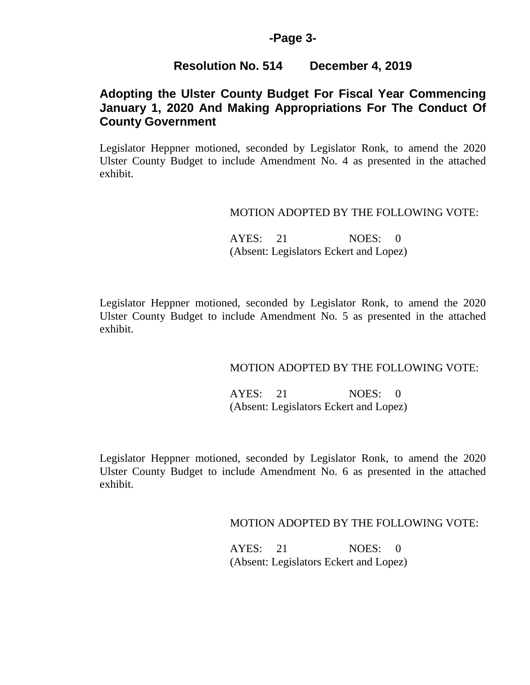### **-Page 3-**

## **Resolution No. 514 December 4, 2019**

# **Adopting the Ulster County Budget For Fiscal Year Commencing January 1, 2020 And Making Appropriations For The Conduct Of County Government**

Legislator Heppner motioned, seconded by Legislator Ronk, to amend the 2020 Ulster County Budget to include Amendment No. 4 as presented in the attached exhibit.

#### MOTION ADOPTED BY THE FOLLOWING VOTE:

AYES: 21 NOES: 0 (Absent: Legislators Eckert and Lopez)

Legislator Heppner motioned, seconded by Legislator Ronk, to amend the 2020 Ulster County Budget to include Amendment No. 5 as presented in the attached exhibit.

### MOTION ADOPTED BY THE FOLLOWING VOTE:

AYES: 21 NOES: 0 (Absent: Legislators Eckert and Lopez)

Legislator Heppner motioned, seconded by Legislator Ronk, to amend the 2020 Ulster County Budget to include Amendment No. 6 as presented in the attached exhibit.

MOTION ADOPTED BY THE FOLLOWING VOTE:

AYES: 21 NOES: 0 (Absent: Legislators Eckert and Lopez)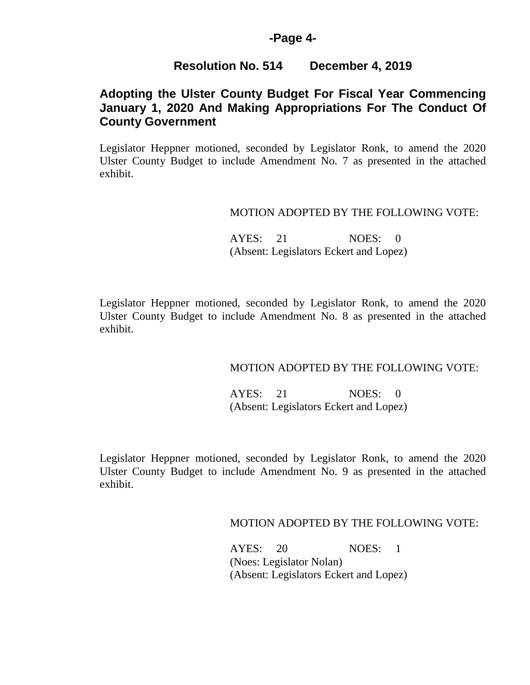### **-Page 4-**

### **Resolution No. 514 December 4, 2019**

## **Adopting the Ulster County Budget For Fiscal Year Commencing January 1, 2020 And Making Appropriations For The Conduct Of County Government**

Legislator Heppner motioned, seconded by Legislator Ronk, to amend the 2020 Ulster County Budget to include Amendment No. 7 as presented in the attached exhibit.

#### MOTION ADOPTED BY THE FOLLOWING VOTE:

AYES: 21 NOES: 0 (Absent: Legislators Eckert and Lopez)

Legislator Heppner motioned, seconded by Legislator Ronk, to amend the 2020 Ulster County Budget to include Amendment No. 8 as presented in the attached exhibit.

### MOTION ADOPTED BY THE FOLLOWING VOTE:

AYES: 21 NOES: 0 (Absent: Legislators Eckert and Lopez)

Legislator Heppner motioned, seconded by Legislator Ronk, to amend the 2020 Ulster County Budget to include Amendment No. 9 as presented in the attached exhibit.

#### MOTION ADOPTED BY THE FOLLOWING VOTE:

 AYES: 20 NOES: 1 (Noes: Legislator Nolan) (Absent: Legislators Eckert and Lopez)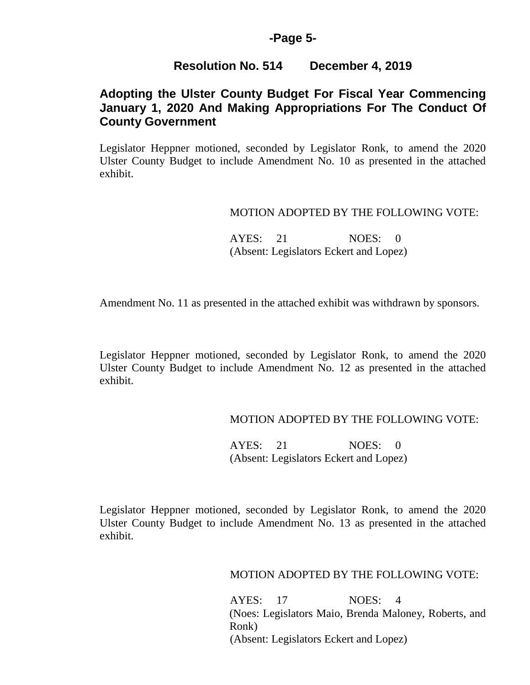## **-Page 5-**

## **Resolution No. 514 December 4, 2019**

# **Adopting the Ulster County Budget For Fiscal Year Commencing January 1, 2020 And Making Appropriations For The Conduct Of County Government**

Legislator Heppner motioned, seconded by Legislator Ronk, to amend the 2020 Ulster County Budget to include Amendment No. 10 as presented in the attached exhibit.

### MOTION ADOPTED BY THE FOLLOWING VOTE:

AYES: 21 NOES: 0 (Absent: Legislators Eckert and Lopez)

Amendment No. 11 as presented in the attached exhibit was withdrawn by sponsors.

Legislator Heppner motioned, seconded by Legislator Ronk, to amend the 2020 Ulster County Budget to include Amendment No. 12 as presented in the attached exhibit.

### MOTION ADOPTED BY THE FOLLOWING VOTE:

AYES: 21 NOES: 0 (Absent: Legislators Eckert and Lopez)

Legislator Heppner motioned, seconded by Legislator Ronk, to amend the 2020 Ulster County Budget to include Amendment No. 13 as presented in the attached exhibit.

MOTION ADOPTED BY THE FOLLOWING VOTE:

 AYES: 17 NOES: 4 (Noes: Legislators Maio, Brenda Maloney, Roberts, and Ronk) (Absent: Legislators Eckert and Lopez)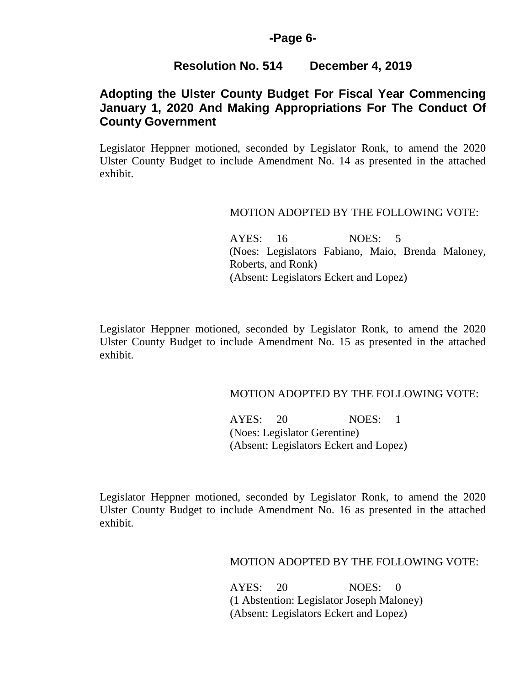### **-Page 6-**

## **Resolution No. 514 December 4, 2019**

# **Adopting the Ulster County Budget For Fiscal Year Commencing January 1, 2020 And Making Appropriations For The Conduct Of County Government**

Legislator Heppner motioned, seconded by Legislator Ronk, to amend the 2020 Ulster County Budget to include Amendment No. 14 as presented in the attached exhibit.

#### MOTION ADOPTED BY THE FOLLOWING VOTE:

 AYES: 16 NOES: 5 (Noes: Legislators Fabiano, Maio, Brenda Maloney, Roberts, and Ronk) (Absent: Legislators Eckert and Lopez)

Legislator Heppner motioned, seconded by Legislator Ronk, to amend the 2020 Ulster County Budget to include Amendment No. 15 as presented in the attached exhibit.

### MOTION ADOPTED BY THE FOLLOWING VOTE:

 AYES: 20 NOES: 1 (Noes: Legislator Gerentine) (Absent: Legislators Eckert and Lopez)

Legislator Heppner motioned, seconded by Legislator Ronk, to amend the 2020 Ulster County Budget to include Amendment No. 16 as presented in the attached exhibit.

### MOTION ADOPTED BY THE FOLLOWING VOTE:

 AYES: 20 NOES: 0 (1 Abstention: Legislator Joseph Maloney) (Absent: Legislators Eckert and Lopez)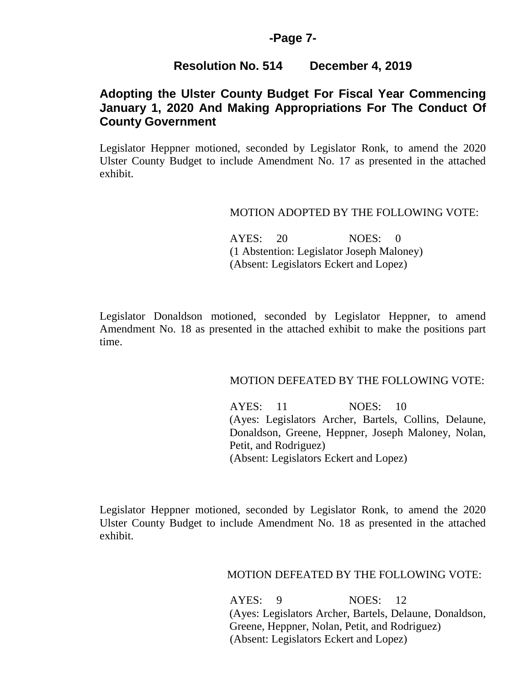#### **-Page 7-**

## **Resolution No. 514 December 4, 2019**

# **Adopting the Ulster County Budget For Fiscal Year Commencing January 1, 2020 And Making Appropriations For The Conduct Of County Government**

Legislator Heppner motioned, seconded by Legislator Ronk, to amend the 2020 Ulster County Budget to include Amendment No. 17 as presented in the attached exhibit.

#### MOTION ADOPTED BY THE FOLLOWING VOTE:

 AYES: 20 NOES: 0 (1 Abstention: Legislator Joseph Maloney) (Absent: Legislators Eckert and Lopez)

Legislator Donaldson motioned, seconded by Legislator Heppner, to amend Amendment No. 18 as presented in the attached exhibit to make the positions part time.

### MOTION DEFEATED BY THE FOLLOWING VOTE:

AYES: 11 NOES: 10 (Ayes: Legislators Archer, Bartels, Collins, Delaune, Donaldson, Greene, Heppner, Joseph Maloney, Nolan, Petit, and Rodriguez) (Absent: Legislators Eckert and Lopez)

Legislator Heppner motioned, seconded by Legislator Ronk, to amend the 2020 Ulster County Budget to include Amendment No. 18 as presented in the attached exhibit.

### MOTION DEFEATED BY THE FOLLOWING VOTE:

AYES: 9 NOES: 12 (Ayes: Legislators Archer, Bartels, Delaune, Donaldson, Greene, Heppner, Nolan, Petit, and Rodriguez) (Absent: Legislators Eckert and Lopez)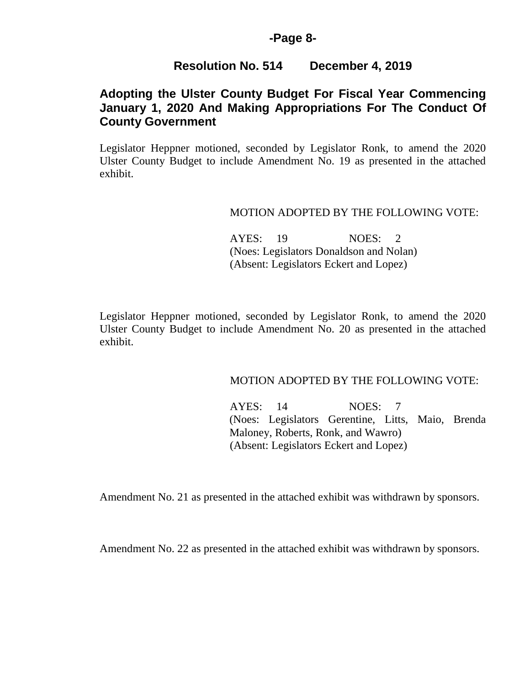### **-Page 8-**

### **Resolution No. 514 December 4, 2019**

## **Adopting the Ulster County Budget For Fiscal Year Commencing January 1, 2020 And Making Appropriations For The Conduct Of County Government**

Legislator Heppner motioned, seconded by Legislator Ronk, to amend the 2020 Ulster County Budget to include Amendment No. 19 as presented in the attached exhibit.

#### MOTION ADOPTED BY THE FOLLOWING VOTE:

 AYES: 19 NOES: 2 (Noes: Legislators Donaldson and Nolan) (Absent: Legislators Eckert and Lopez)

Legislator Heppner motioned, seconded by Legislator Ronk, to amend the 2020 Ulster County Budget to include Amendment No. 20 as presented in the attached exhibit.

#### MOTION ADOPTED BY THE FOLLOWING VOTE:

 AYES: 14 NOES: 7 (Noes: Legislators Gerentine, Litts, Maio, Brenda Maloney, Roberts, Ronk, and Wawro) (Absent: Legislators Eckert and Lopez)

Amendment No. 21 as presented in the attached exhibit was withdrawn by sponsors.

Amendment No. 22 as presented in the attached exhibit was withdrawn by sponsors.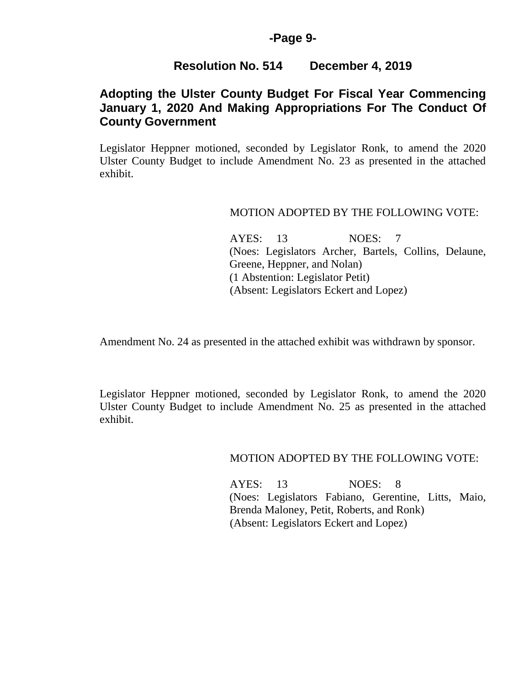### **-Page 9-**

### **Resolution No. 514 December 4, 2019**

# **Adopting the Ulster County Budget For Fiscal Year Commencing January 1, 2020 And Making Appropriations For The Conduct Of County Government**

Legislator Heppner motioned, seconded by Legislator Ronk, to amend the 2020 Ulster County Budget to include Amendment No. 23 as presented in the attached exhibit.

#### MOTION ADOPTED BY THE FOLLOWING VOTE:

 AYES: 13 NOES: 7 (Noes: Legislators Archer, Bartels, Collins, Delaune, Greene, Heppner, and Nolan) (1 Abstention: Legislator Petit) (Absent: Legislators Eckert and Lopez)

Amendment No. 24 as presented in the attached exhibit was withdrawn by sponsor.

Legislator Heppner motioned, seconded by Legislator Ronk, to amend the 2020 Ulster County Budget to include Amendment No. 25 as presented in the attached exhibit.

MOTION ADOPTED BY THE FOLLOWING VOTE:

 AYES: 13 NOES: 8 (Noes: Legislators Fabiano, Gerentine, Litts, Maio, Brenda Maloney, Petit, Roberts, and Ronk) (Absent: Legislators Eckert and Lopez)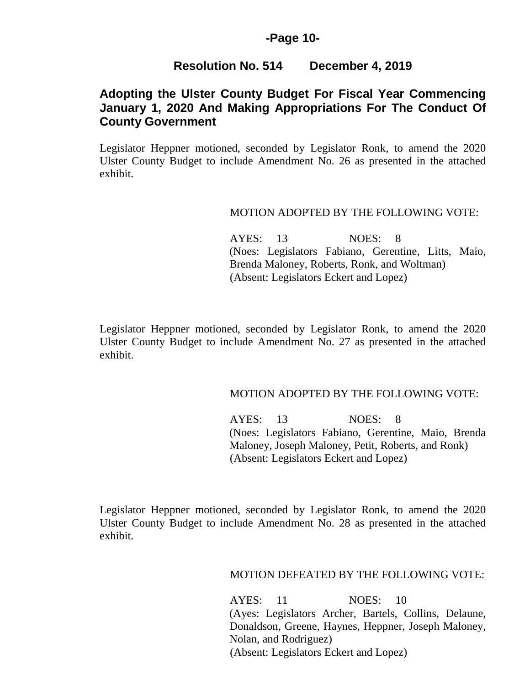## **-Page 10-**

## **Resolution No. 514 December 4, 2019**

# **Adopting the Ulster County Budget For Fiscal Year Commencing January 1, 2020 And Making Appropriations For The Conduct Of County Government**

Legislator Heppner motioned, seconded by Legislator Ronk, to amend the 2020 Ulster County Budget to include Amendment No. 26 as presented in the attached exhibit.

#### MOTION ADOPTED BY THE FOLLOWING VOTE:

 AYES: 13 NOES: 8 (Noes: Legislators Fabiano, Gerentine, Litts, Maio, Brenda Maloney, Roberts, Ronk, and Woltman) (Absent: Legislators Eckert and Lopez)

Legislator Heppner motioned, seconded by Legislator Ronk, to amend the 2020 Ulster County Budget to include Amendment No. 27 as presented in the attached exhibit.

### MOTION ADOPTED BY THE FOLLOWING VOTE:

 AYES: 13 NOES: 8 (Noes: Legislators Fabiano, Gerentine, Maio, Brenda Maloney, Joseph Maloney, Petit, Roberts, and Ronk) (Absent: Legislators Eckert and Lopez)

Legislator Heppner motioned, seconded by Legislator Ronk, to amend the 2020 Ulster County Budget to include Amendment No. 28 as presented in the attached exhibit.

### MOTION DEFEATED BY THE FOLLOWING VOTE:

AYES: 11 NOES: 10 (Ayes: Legislators Archer, Bartels, Collins, Delaune, Donaldson, Greene, Haynes, Heppner, Joseph Maloney, Nolan, and Rodriguez) (Absent: Legislators Eckert and Lopez)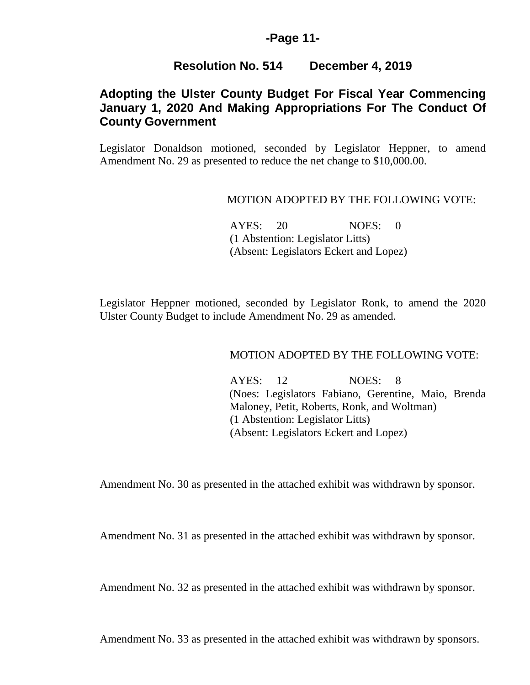## **-Page 11-**

## **Resolution No. 514 December 4, 2019**

# **Adopting the Ulster County Budget For Fiscal Year Commencing January 1, 2020 And Making Appropriations For The Conduct Of County Government**

Legislator Donaldson motioned, seconded by Legislator Heppner, to amend Amendment No. 29 as presented to reduce the net change to \$10,000.00.

#### MOTION ADOPTED BY THE FOLLOWING VOTE:

AYES: 20 NOES: 0 (1 Abstention: Legislator Litts) (Absent: Legislators Eckert and Lopez)

Legislator Heppner motioned, seconded by Legislator Ronk, to amend the 2020 Ulster County Budget to include Amendment No. 29 as amended.

#### MOTION ADOPTED BY THE FOLLOWING VOTE:

 AYES: 12 NOES: 8 (Noes: Legislators Fabiano, Gerentine, Maio, Brenda Maloney, Petit, Roberts, Ronk, and Woltman) (1 Abstention: Legislator Litts) (Absent: Legislators Eckert and Lopez)

Amendment No. 30 as presented in the attached exhibit was withdrawn by sponsor.

Amendment No. 31 as presented in the attached exhibit was withdrawn by sponsor.

Amendment No. 32 as presented in the attached exhibit was withdrawn by sponsor.

Amendment No. 33 as presented in the attached exhibit was withdrawn by sponsors.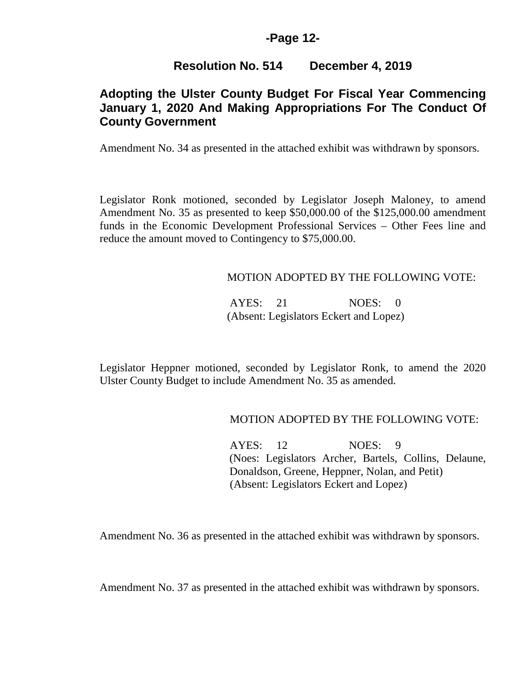## **-Page 12-**

## **Resolution No. 514 December 4, 2019**

# **Adopting the Ulster County Budget For Fiscal Year Commencing January 1, 2020 And Making Appropriations For The Conduct Of County Government**

Amendment No. 34 as presented in the attached exhibit was withdrawn by sponsors.

Legislator Ronk motioned, seconded by Legislator Joseph Maloney, to amend Amendment No. 35 as presented to keep \$50,000.00 of the \$125,000.00 amendment funds in the Economic Development Professional Services – Other Fees line and reduce the amount moved to Contingency to \$75,000.00.

### MOTION ADOPTED BY THE FOLLOWING VOTE:

AYES: 21 NOES: 0 (Absent: Legislators Eckert and Lopez)

Legislator Heppner motioned, seconded by Legislator Ronk, to amend the 2020 Ulster County Budget to include Amendment No. 35 as amended.

### MOTION ADOPTED BY THE FOLLOWING VOTE:

 AYES: 12 NOES: 9 (Noes: Legislators Archer, Bartels, Collins, Delaune, Donaldson, Greene, Heppner, Nolan, and Petit) (Absent: Legislators Eckert and Lopez)

Amendment No. 36 as presented in the attached exhibit was withdrawn by sponsors.

Amendment No. 37 as presented in the attached exhibit was withdrawn by sponsors.